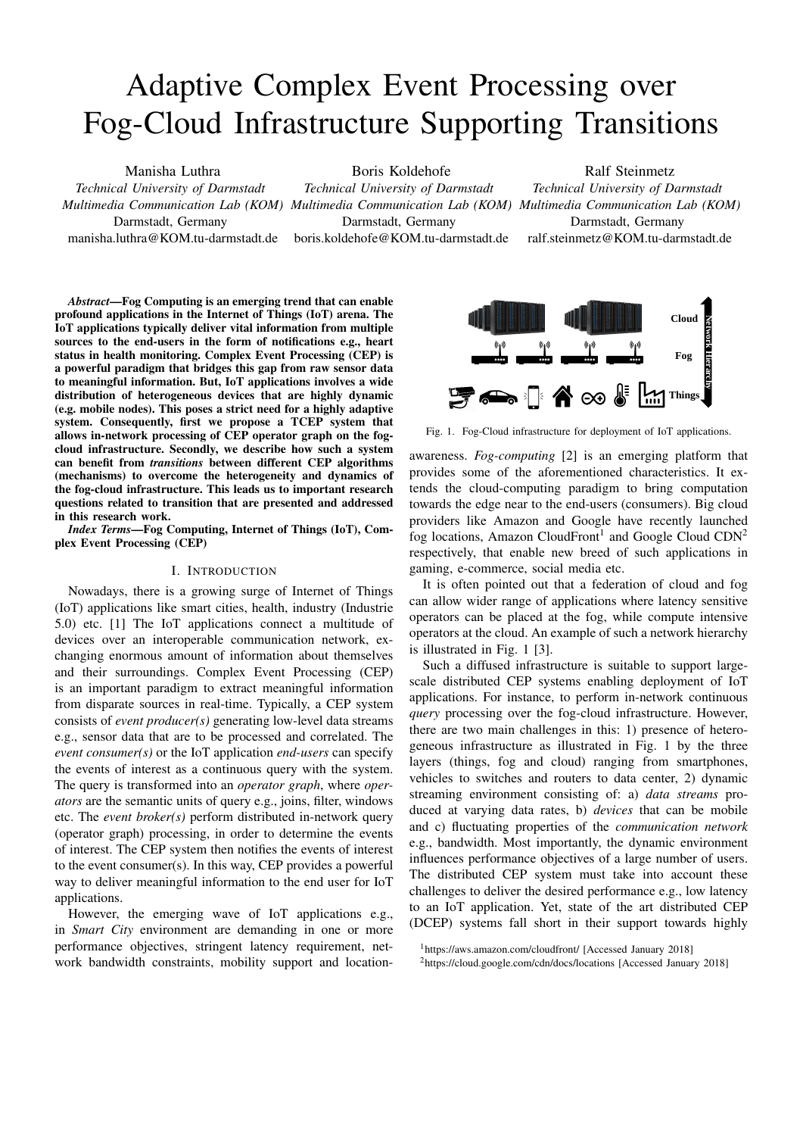# Adaptive Complex Event Processing over Fog-Cloud Infrastructure Supporting Transitions

Manisha Luthra

*Technical University of Darmstadt* Darmstadt, Germany

manisha.luthra@KOM.tu-darmstadt.de

Boris Koldehofe *Technical University of Darmstadt*

Darmstadt, Germany boris.koldehofe@KOM.tu-darmstadt.de Ralf Steinmetz

*Multimedia Communication Lab (KOM) Multimedia Communication Lab (KOM) Multimedia Communication Lab (KOM) Technical University of Darmstadt* Darmstadt, Germany ralf.steinmetz@KOM.tu-darmstadt.de

*Abstract*—Fog Computing is an emerging trend that can enable profound applications in the Internet of Things (IoT) arena. The IoT applications typically deliver vital information from multiple sources to the end-users in the form of notifications e.g., heart status in health monitoring. Complex Event Processing (CEP) is a powerful paradigm that bridges this gap from raw sensor data to meaningful information. But, IoT applications involves a wide distribution of heterogeneous devices that are highly dynamic (e.g. mobile nodes). This poses a strict need for a highly adaptive system. Consequently, first we propose a TCEP system that allows in-network processing of CEP operator graph on the fogcloud infrastructure. Secondly, we describe how such a system can benefit from *transitions* between different CEP algorithms (mechanisms) to overcome the heterogeneity and dynamics of the fog-cloud infrastructure. This leads us to important research questions related to transition that are presented and addressed in this research work.

*Index Terms*—Fog Computing, Internet of Things (IoT), Complex Event Processing (CEP)

## I. INTRODUCTION

Nowadays, there is a growing surge of Internet of Things (IoT) applications like smart cities, health, industry (Industrie 5.0) etc. [1] The IoT applications connect a multitude of devices over an interoperable communication network, exchanging enormous amount of information about themselves and their surroundings. Complex Event Processing (CEP) is an important paradigm to extract meaningful information from disparate sources in real-time. Typically, a CEP system consists of *event producer(s)* generating low-level data streams e.g., sensor data that are to be processed and correlated. The *event consumer(s)* or the IoT application *end-users* can specify the events of interest as a continuous query with the system. The query is transformed into an *operator graph*, where *operators* are the semantic units of query e.g., joins, filter, windows etc. The *event broker(s)* perform distributed in-network query (operator graph) processing, in order to determine the events of interest. The CEP system then notifies the events of interest to the event consumer(s). In this way, CEP provides a powerful way to deliver meaningful information to the end user for IoT applications.

However, the emerging wave of IoT applications e.g., in *Smart City* environment are demanding in one or more performance objectives, stringent latency requirement, network bandwidth constraints, mobility support and location-



Fig. 1. Fog-Cloud infrastructure for deployment of IoT applications.

awareness. *Fog-computing* [2] is an emerging platform that provides some of the aforementioned characteristics. It extends the cloud-computing paradigm to bring computation towards the edge near to the end-users (consumers). Big cloud providers like Amazon and Google have recently launched fog locations, Amazon CloudFront<sup>1</sup> and Google Cloud CDN<sup>2</sup> respectively, that enable new breed of such applications in gaming, e-commerce, social media etc.

It is often pointed out that a federation of cloud and fog can allow wider range of applications where latency sensitive operators can be placed at the fog, while compute intensive operators at the cloud. An example of such a network hierarchy is illustrated in Fig. 1 [3].

Such a diffused infrastructure is suitable to support largescale distributed CEP systems enabling deployment of IoT applications. For instance, to perform in-network continuous *query* processing over the fog-cloud infrastructure. However, there are two main challenges in this: 1) presence of heterogeneous infrastructure as illustrated in Fig. 1 by the three layers (things, fog and cloud) ranging from smartphones, vehicles to switches and routers to data center, 2) dynamic streaming environment consisting of: a) *data streams* produced at varying data rates, b) *devices* that can be mobile and c) fluctuating properties of the *communication network* e.g., bandwidth. Most importantly, the dynamic environment influences performance objectives of a large number of users. The distributed CEP system must take into account these challenges to deliver the desired performance e.g., low latency to an IoT application. Yet, state of the art distributed CEP (DCEP) systems fall short in their support towards highly

<sup>1</sup>https://aws.amazon.com/cloudfront/ [Accessed January 2018]

<sup>2</sup>https://cloud.google.com/cdn/docs/locations [Accessed January 2018]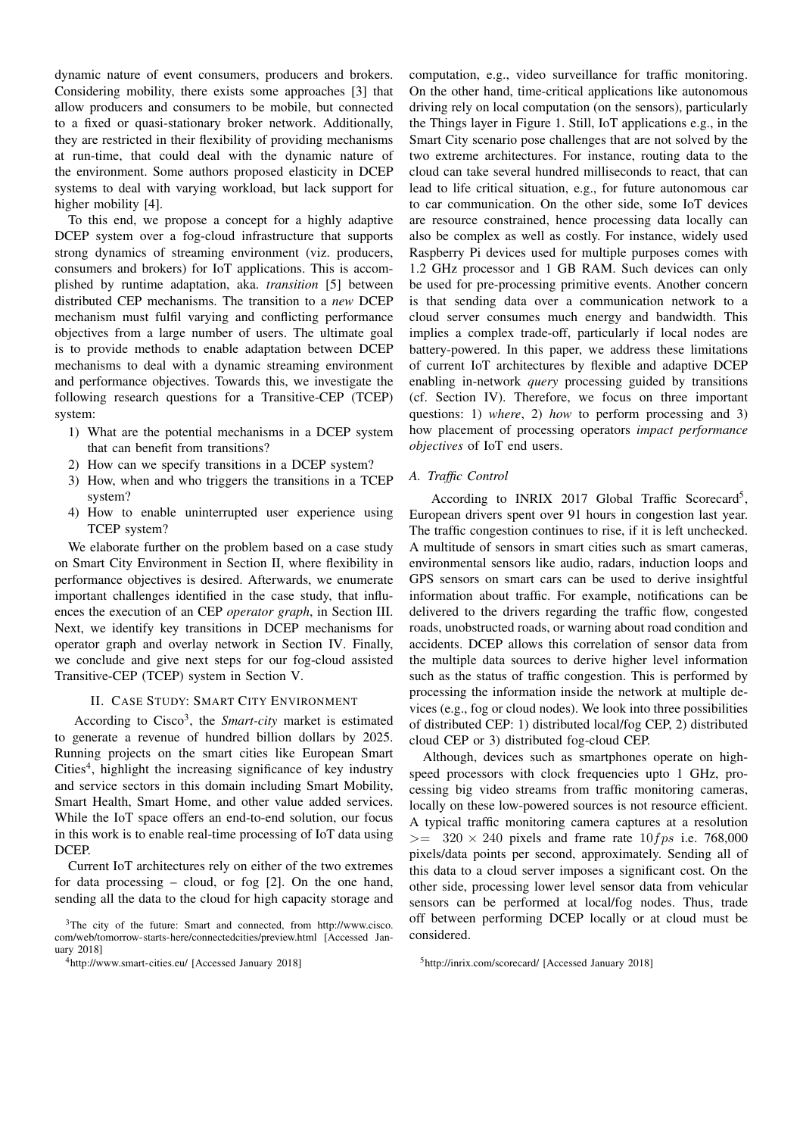dynamic nature of event consumers, producers and brokers. Considering mobility, there exists some approaches [3] that allow producers and consumers to be mobile, but connected to a fixed or quasi-stationary broker network. Additionally, they are restricted in their flexibility of providing mechanisms at run-time, that could deal with the dynamic nature of the environment. Some authors proposed elasticity in DCEP systems to deal with varying workload, but lack support for higher mobility [4].

To this end, we propose a concept for a highly adaptive DCEP system over a fog-cloud infrastructure that supports strong dynamics of streaming environment (viz. producers, consumers and brokers) for IoT applications. This is accomplished by runtime adaptation, aka. *transition* [5] between distributed CEP mechanisms. The transition to a *new* DCEP mechanism must fulfil varying and conflicting performance objectives from a large number of users. The ultimate goal is to provide methods to enable adaptation between DCEP mechanisms to deal with a dynamic streaming environment and performance objectives. Towards this, we investigate the following research questions for a Transitive-CEP (TCEP) system:

- 1) What are the potential mechanisms in a DCEP system that can benefit from transitions?
- 2) How can we specify transitions in a DCEP system?
- 3) How, when and who triggers the transitions in a TCEP system?
- 4) How to enable uninterrupted user experience using TCEP system?

We elaborate further on the problem based on a case study on Smart City Environment in Section II, where flexibility in performance objectives is desired. Afterwards, we enumerate important challenges identified in the case study, that influences the execution of an CEP *operator graph*, in Section III. Next, we identify key transitions in DCEP mechanisms for operator graph and overlay network in Section IV. Finally, we conclude and give next steps for our fog-cloud assisted Transitive-CEP (TCEP) system in Section V.

## II. CASE STUDY: SMART CITY ENVIRONMENT

According to Cisco<sup>3</sup>, the *Smart-city* market is estimated to generate a revenue of hundred billion dollars by 2025. Running projects on the smart cities like European Smart Cities<sup>4</sup>, highlight the increasing significance of key industry and service sectors in this domain including Smart Mobility, Smart Health, Smart Home, and other value added services. While the IoT space offers an end-to-end solution, our focus in this work is to enable real-time processing of IoT data using DCEP.

Current IoT architectures rely on either of the two extremes for data processing – cloud, or fog [2]. On the one hand, sending all the data to the cloud for high capacity storage and

computation, e.g., video surveillance for traffic monitoring. On the other hand, time-critical applications like autonomous driving rely on local computation (on the sensors), particularly the Things layer in Figure 1. Still, IoT applications e.g., in the Smart City scenario pose challenges that are not solved by the two extreme architectures. For instance, routing data to the cloud can take several hundred milliseconds to react, that can lead to life critical situation, e.g., for future autonomous car to car communication. On the other side, some IoT devices are resource constrained, hence processing data locally can also be complex as well as costly. For instance, widely used Raspberry Pi devices used for multiple purposes comes with 1.2 GHz processor and 1 GB RAM. Such devices can only be used for pre-processing primitive events. Another concern is that sending data over a communication network to a cloud server consumes much energy and bandwidth. This implies a complex trade-off, particularly if local nodes are battery-powered. In this paper, we address these limitations of current IoT architectures by flexible and adaptive DCEP enabling in-network *query* processing guided by transitions (cf. Section IV). Therefore, we focus on three important questions: 1) *where*, 2) *how* to perform processing and 3) how placement of processing operators *impact performance objectives* of IoT end users.

### *A. Traffic Control*

According to INRIX 2017 Global Traffic Scorecard<sup>5</sup>, European drivers spent over 91 hours in congestion last year. The traffic congestion continues to rise, if it is left unchecked. A multitude of sensors in smart cities such as smart cameras, environmental sensors like audio, radars, induction loops and GPS sensors on smart cars can be used to derive insightful information about traffic. For example, notifications can be delivered to the drivers regarding the traffic flow, congested roads, unobstructed roads, or warning about road condition and accidents. DCEP allows this correlation of sensor data from the multiple data sources to derive higher level information such as the status of traffic congestion. This is performed by processing the information inside the network at multiple devices (e.g., fog or cloud nodes). We look into three possibilities of distributed CEP: 1) distributed local/fog CEP, 2) distributed cloud CEP or 3) distributed fog-cloud CEP.

Although, devices such as smartphones operate on highspeed processors with clock frequencies upto 1 GHz, processing big video streams from traffic monitoring cameras, locally on these low-powered sources is not resource efficient. A typical traffic monitoring camera captures at a resolution  $>=$  320  $\times$  240 pixels and frame rate 10fps i.e. 768,000 pixels/data points per second, approximately. Sending all of this data to a cloud server imposes a significant cost. On the other side, processing lower level sensor data from vehicular sensors can be performed at local/fog nodes. Thus, trade off between performing DCEP locally or at cloud must be considered.

<sup>3</sup>The city of the future: Smart and connected, from http://www.cisco. com/web/tomorrow-starts-here/connectedcities/preview.html [Accessed January 2018]

<sup>4</sup>http://www.smart-cities.eu/ [Accessed January 2018]

<sup>5</sup>http://inrix.com/scorecard/ [Accessed January 2018]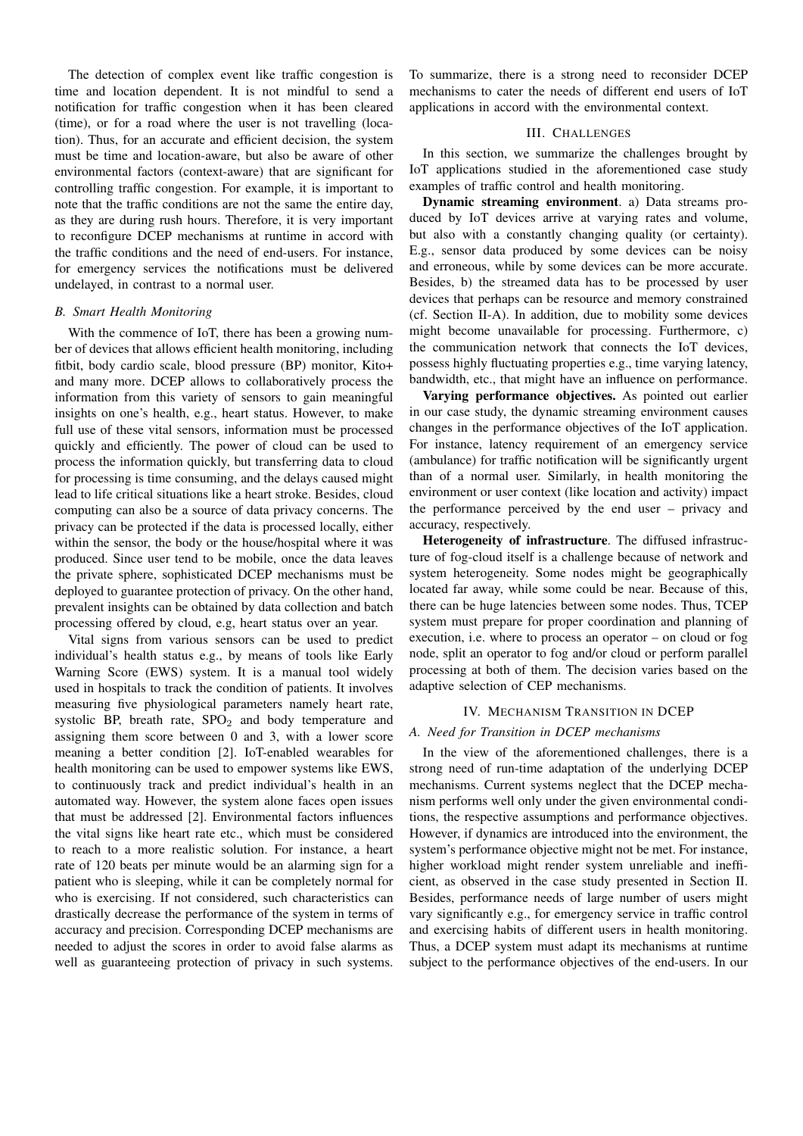The detection of complex event like traffic congestion is time and location dependent. It is not mindful to send a notification for traffic congestion when it has been cleared (time), or for a road where the user is not travelling (location). Thus, for an accurate and efficient decision, the system must be time and location-aware, but also be aware of other environmental factors (context-aware) that are significant for controlling traffic congestion. For example, it is important to note that the traffic conditions are not the same the entire day, as they are during rush hours. Therefore, it is very important to reconfigure DCEP mechanisms at runtime in accord with the traffic conditions and the need of end-users. For instance, for emergency services the notifications must be delivered undelayed, in contrast to a normal user.

### *B. Smart Health Monitoring*

With the commence of IoT, there has been a growing number of devices that allows efficient health monitoring, including fitbit, body cardio scale, blood pressure (BP) monitor, Kito+ and many more. DCEP allows to collaboratively process the information from this variety of sensors to gain meaningful insights on one's health, e.g., heart status. However, to make full use of these vital sensors, information must be processed quickly and efficiently. The power of cloud can be used to process the information quickly, but transferring data to cloud for processing is time consuming, and the delays caused might lead to life critical situations like a heart stroke. Besides, cloud computing can also be a source of data privacy concerns. The privacy can be protected if the data is processed locally, either within the sensor, the body or the house/hospital where it was produced. Since user tend to be mobile, once the data leaves the private sphere, sophisticated DCEP mechanisms must be deployed to guarantee protection of privacy. On the other hand, prevalent insights can be obtained by data collection and batch processing offered by cloud, e.g, heart status over an year.

Vital signs from various sensors can be used to predict individual's health status e.g., by means of tools like Early Warning Score (EWS) system. It is a manual tool widely used in hospitals to track the condition of patients. It involves measuring five physiological parameters namely heart rate, systolic BP, breath rate,  $SPO<sub>2</sub>$  and body temperature and assigning them score between 0 and 3, with a lower score meaning a better condition [2]. IoT-enabled wearables for health monitoring can be used to empower systems like EWS, to continuously track and predict individual's health in an automated way. However, the system alone faces open issues that must be addressed [2]. Environmental factors influences the vital signs like heart rate etc., which must be considered to reach to a more realistic solution. For instance, a heart rate of 120 beats per minute would be an alarming sign for a patient who is sleeping, while it can be completely normal for who is exercising. If not considered, such characteristics can drastically decrease the performance of the system in terms of accuracy and precision. Corresponding DCEP mechanisms are needed to adjust the scores in order to avoid false alarms as well as guaranteeing protection of privacy in such systems.

To summarize, there is a strong need to reconsider DCEP mechanisms to cater the needs of different end users of IoT applications in accord with the environmental context.

#### III. CHALLENGES

In this section, we summarize the challenges brought by IoT applications studied in the aforementioned case study examples of traffic control and health monitoring.

Dynamic streaming environment. a) Data streams produced by IoT devices arrive at varying rates and volume, but also with a constantly changing quality (or certainty). E.g., sensor data produced by some devices can be noisy and erroneous, while by some devices can be more accurate. Besides, b) the streamed data has to be processed by user devices that perhaps can be resource and memory constrained (cf. Section II-A). In addition, due to mobility some devices might become unavailable for processing. Furthermore, c) the communication network that connects the IoT devices, possess highly fluctuating properties e.g., time varying latency, bandwidth, etc., that might have an influence on performance.

Varying performance objectives. As pointed out earlier in our case study, the dynamic streaming environment causes changes in the performance objectives of the IoT application. For instance, latency requirement of an emergency service (ambulance) for traffic notification will be significantly urgent than of a normal user. Similarly, in health monitoring the environment or user context (like location and activity) impact the performance perceived by the end user – privacy and accuracy, respectively.

Heterogeneity of infrastructure. The diffused infrastructure of fog-cloud itself is a challenge because of network and system heterogeneity. Some nodes might be geographically located far away, while some could be near. Because of this, there can be huge latencies between some nodes. Thus, TCEP system must prepare for proper coordination and planning of execution, i.e. where to process an operator – on cloud or fog node, split an operator to fog and/or cloud or perform parallel processing at both of them. The decision varies based on the adaptive selection of CEP mechanisms.

#### IV. MECHANISM TRANSITION IN DCEP

## *A. Need for Transition in DCEP mechanisms*

In the view of the aforementioned challenges, there is a strong need of run-time adaptation of the underlying DCEP mechanisms. Current systems neglect that the DCEP mechanism performs well only under the given environmental conditions, the respective assumptions and performance objectives. However, if dynamics are introduced into the environment, the system's performance objective might not be met. For instance, higher workload might render system unreliable and inefficient, as observed in the case study presented in Section II. Besides, performance needs of large number of users might vary significantly e.g., for emergency service in traffic control and exercising habits of different users in health monitoring. Thus, a DCEP system must adapt its mechanisms at runtime subject to the performance objectives of the end-users. In our